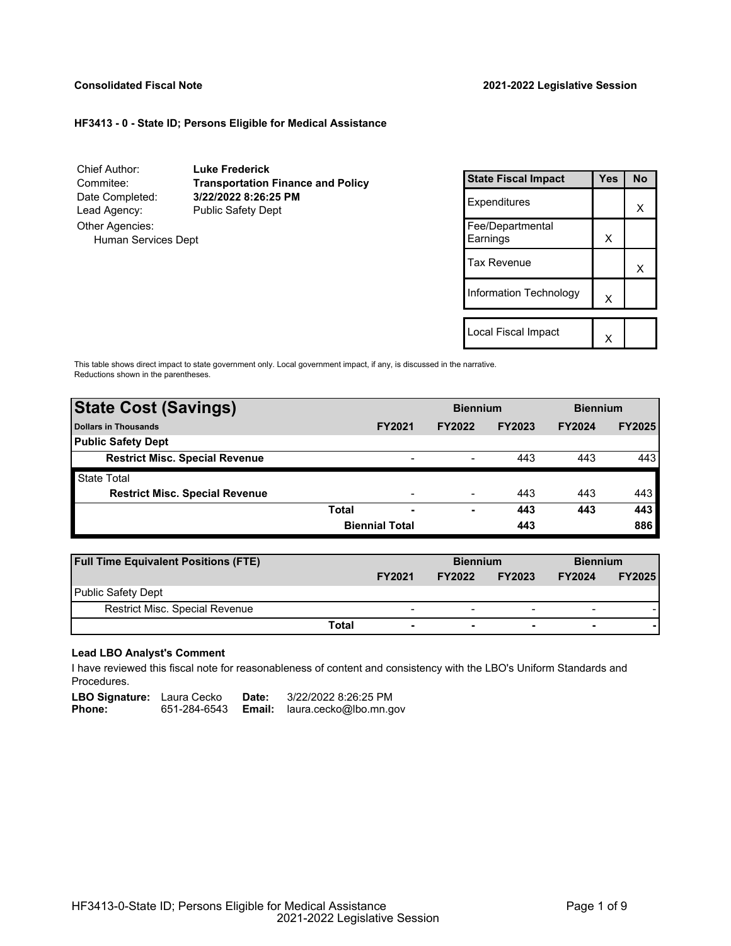# **Consolidated Fiscal Note 2021-2022 Legislative Session**

# **HF3413 - 0 - State ID; Persons Eligible for Medical Assistance**

Chief Author: **Luke Frederick** Commitee: **Transportation Finance and Policy** Date Completed: **3/22/2022 8:26:25 PM** Lead Agency: Public Safety Dept Other Agencies: Human Services Dept

| <b>State Fiscal Impact</b>   | <b>Yes</b> | <b>No</b> |
|------------------------------|------------|-----------|
| Expenditures                 |            | x         |
| Fee/Departmental<br>Earnings | X          |           |
| Tax Revenue                  |            | x         |
| Information Technology       | X          |           |
|                              |            |           |
| Local Fiscal Impact          |            |           |

This table shows direct impact to state government only. Local government impact, if any, is discussed in the narrative. Reductions shown in the parentheses.

| <b>State Cost (Savings)</b>           |       |                       | <b>Biennium</b> |               | <b>Biennium</b> |               |
|---------------------------------------|-------|-----------------------|-----------------|---------------|-----------------|---------------|
| <b>Dollars in Thousands</b>           |       | <b>FY2021</b>         | <b>FY2022</b>   | <b>FY2023</b> | <b>FY2024</b>   | <b>FY2025</b> |
| <b>Public Safety Dept</b>             |       |                       |                 |               |                 |               |
| <b>Restrict Misc. Special Revenue</b> |       | $\,$                  |                 | 443           | 443             | 443           |
| <b>State Total</b>                    |       |                       |                 |               |                 |               |
| <b>Restrict Misc. Special Revenue</b> |       | -                     |                 | 443           | 443             | 443           |
|                                       | Total | -                     | ۰               | 443           | 443             | 443           |
|                                       |       | <b>Biennial Total</b> |                 | 443           |                 | 886           |
|                                       |       |                       |                 |               |                 |               |

| <b>Full Time Equivalent Positions (FTE)</b> |                          | <b>Biennium</b> |                          | <b>Biennium</b>          |               |
|---------------------------------------------|--------------------------|-----------------|--------------------------|--------------------------|---------------|
|                                             | <b>FY2021</b>            | <b>FY2022</b>   | <b>FY2023</b>            | <b>FY2024</b>            | <b>FY2025</b> |
| <b>Public Safety Dept</b>                   |                          |                 |                          |                          |               |
| <b>Restrict Misc. Special Revenue</b>       | $\overline{\phantom{a}}$ | -               | $\overline{\phantom{0}}$ | $\blacksquare$           |               |
| Total                                       | $\overline{\phantom{0}}$ | ۰               | $\overline{\phantom{0}}$ | $\overline{\phantom{0}}$ |               |

### **Lead LBO Analyst's Comment**

I have reviewed this fiscal note for reasonableness of content and consistency with the LBO's Uniform Standards and Procedures.

LBO Signature: Laura Cecko Date: 3/22/2022 8:26:25 PM<br>Phone: 651-284-6543 **Email:** laura.cecko@lbo.mn.g 651-284-6543 **Email:** laura.cecko@lbo.mn.gov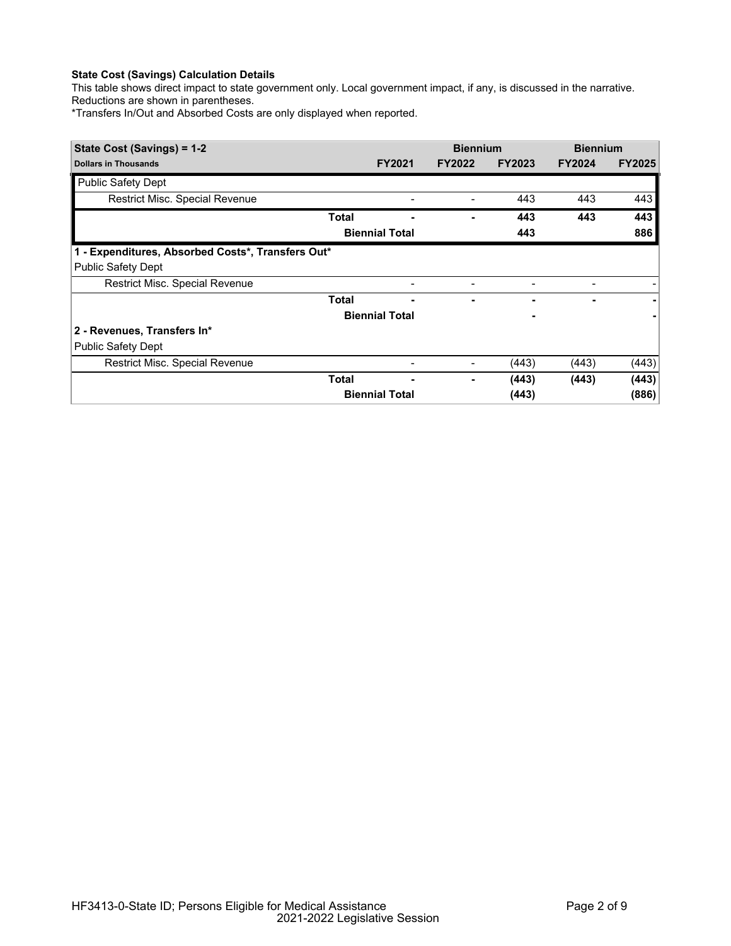# **State Cost (Savings) Calculation Details**

This table shows direct impact to state government only. Local government impact, if any, is discussed in the narrative. Reductions are shown in parentheses.

\*Transfers In/Out and Absorbed Costs are only displayed when reported.

| State Cost (Savings) = 1-2                        |              |                       | <b>Biennium</b> |               | <b>Biennium</b> |               |
|---------------------------------------------------|--------------|-----------------------|-----------------|---------------|-----------------|---------------|
| <b>Dollars in Thousands</b>                       |              | <b>FY2021</b>         | <b>FY2022</b>   | <b>FY2023</b> | <b>FY2024</b>   | <b>FY2025</b> |
| <b>Public Safety Dept</b>                         |              |                       |                 |               |                 |               |
| Restrict Misc. Special Revenue                    |              |                       |                 | 443           | 443             | 443           |
|                                                   | Total        |                       |                 | 443           | 443             | 443           |
|                                                   |              | <b>Biennial Total</b> |                 | 443           |                 | 886           |
| 1 - Expenditures, Absorbed Costs*, Transfers Out* |              |                       |                 |               |                 |               |
| <b>Public Safety Dept</b>                         |              |                       |                 |               |                 |               |
| Restrict Misc. Special Revenue                    |              | -                     |                 |               |                 |               |
|                                                   | <b>Total</b> |                       |                 |               |                 |               |
|                                                   |              | <b>Biennial Total</b> |                 |               |                 |               |
| 2 - Revenues, Transfers In*                       |              |                       |                 |               |                 |               |
| <b>Public Safety Dept</b>                         |              |                       |                 |               |                 |               |
| Restrict Misc. Special Revenue                    |              |                       |                 | (443)         | (443)           | (443)         |
|                                                   | Total        |                       | ۰               | (443)         | (443)           | (443)         |
|                                                   |              | <b>Biennial Total</b> |                 | (443)         |                 | (886)         |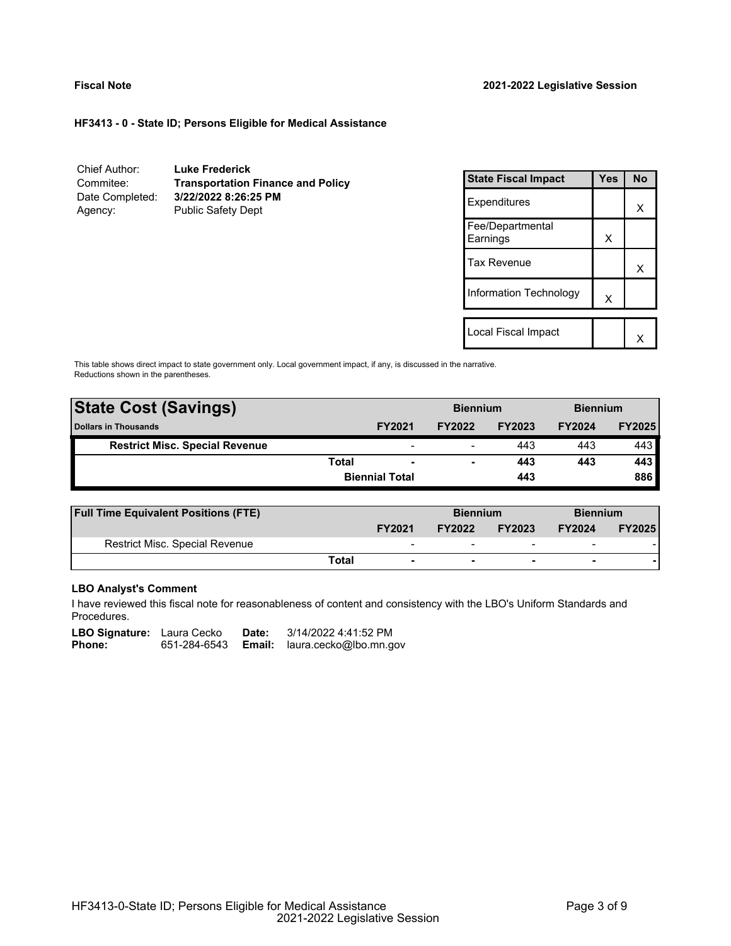# **HF3413 - 0 - State ID; Persons Eligible for Medical Assistance**

| Chief Author:   | <b>Luke Frederick</b>                    |
|-----------------|------------------------------------------|
| Commitee:       | <b>Transportation Finance and Policy</b> |
| Date Completed: | 3/22/2022 8:26:25 PM                     |
| Agency:         | <b>Public Safety Dept</b>                |

| <b>State Fiscal Impact</b>   | <b>Yes</b> | <b>No</b> |
|------------------------------|------------|-----------|
| Expenditures                 |            | x         |
| Fee/Departmental<br>Earnings | X          |           |
| Tax Revenue                  |            | x         |
| Information Technology       | X          |           |
|                              |            |           |
| Local Fiscal Impact          |            |           |

This table shows direct impact to state government only. Local government impact, if any, is discussed in the narrative. Reductions shown in the parentheses.

| <b>State Cost (Savings)</b>           |              |                          | <b>Biennium</b> |               | <b>Biennium</b> |               |
|---------------------------------------|--------------|--------------------------|-----------------|---------------|-----------------|---------------|
| <b>Dollars in Thousands</b>           |              | <b>FY2021</b>            | <b>FY2022</b>   | <b>FY2023</b> | <b>FY2024</b>   | <b>FY2025</b> |
| <b>Restrict Misc. Special Revenue</b> |              | $\overline{\phantom{a}}$ | -               | 443           | 443             | 443           |
|                                       | <b>Total</b> |                          |                 | 443           | 443             | 443           |
|                                       |              | <b>Biennial Total</b>    |                 | 443           |                 | 886           |
|                                       |              |                          |                 |               |                 |               |

| <b>Full Time Equivalent Positions (FTE)</b> |       |                          | <b>Biennium</b> |                          | <b>Biennium</b>          |               |
|---------------------------------------------|-------|--------------------------|-----------------|--------------------------|--------------------------|---------------|
|                                             |       | <b>FY2021</b>            | <b>FY2022</b>   | <b>FY2023</b>            | <b>FY2024</b>            | <b>FY2025</b> |
| Restrict Misc. Special Revenue              |       | -                        |                 | $\overline{\phantom{0}}$ | $\overline{\phantom{0}}$ |               |
|                                             | Total | $\overline{\phantom{0}}$ | ۰               | $\overline{\phantom{0}}$ | $\overline{\phantom{0}}$ |               |

# **LBO Analyst's Comment**

I have reviewed this fiscal note for reasonableness of content and consistency with the LBO's Uniform Standards and Procedures.

| <b>LBO Signature:</b> Laura Cecko |              | Date: | 3/14/2022 4:41:52 PM                 |
|-----------------------------------|--------------|-------|--------------------------------------|
| Phone:                            | 651-284-6543 |       | <b>Email:</b> laura.cecko@lbo.mn.gov |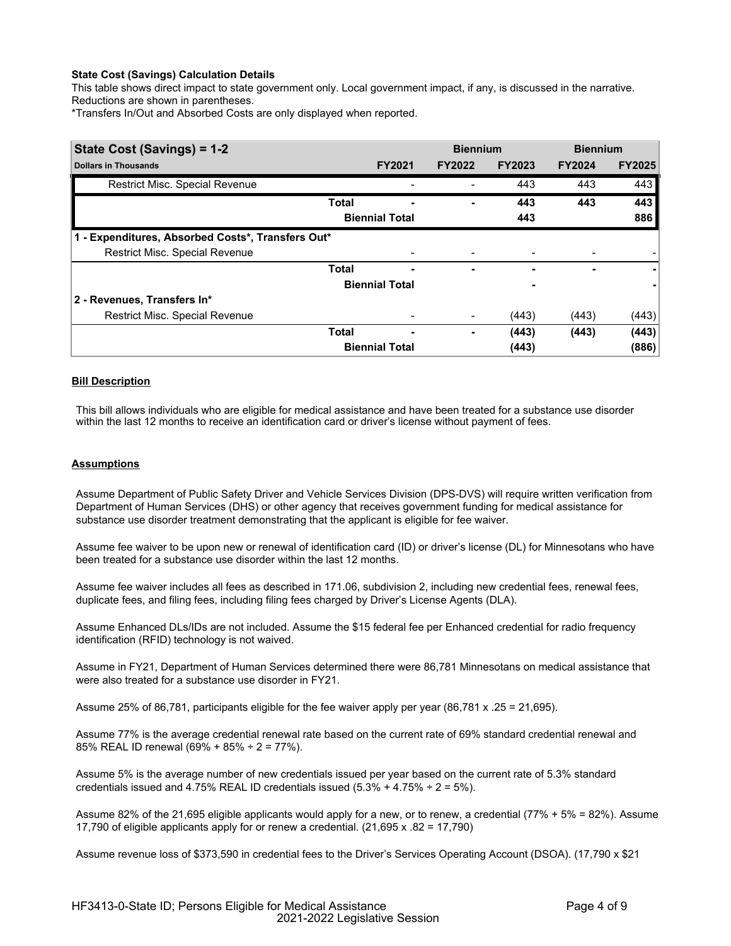# **State Cost (Savings) Calculation Details**

This table shows direct impact to state government only. Local government impact, if any, is discussed in the narrative. Reductions are shown in parentheses.

\*Transfers In/Out and Absorbed Costs are only displayed when reported.

| State Cost (Savings) = 1-2                        |              |                       | <b>Biennium</b> |               | <b>Biennium</b> |               |
|---------------------------------------------------|--------------|-----------------------|-----------------|---------------|-----------------|---------------|
| <b>Dollars in Thousands</b>                       |              | <b>FY2021</b>         | <b>FY2022</b>   | <b>FY2023</b> | <b>FY2024</b>   | <b>FY2025</b> |
| Restrict Misc. Special Revenue                    |              |                       |                 | 443           | 443             | 443           |
|                                                   | <b>Total</b> |                       | -               | 443           | 443             | 443           |
|                                                   |              | <b>Biennial Total</b> |                 | 443           |                 | 886           |
| 1 - Expenditures, Absorbed Costs*, Transfers Out* |              |                       |                 |               |                 |               |
| Restrict Misc. Special Revenue                    |              |                       |                 |               |                 |               |
|                                                   | Total        |                       | ٠               | ٠             | ۰               |               |
|                                                   |              | <b>Biennial Total</b> |                 |               |                 |               |
| 2 - Revenues, Transfers In*                       |              |                       |                 |               |                 |               |
| Restrict Misc. Special Revenue                    |              |                       |                 | (443)         | (443)           | (443)         |
|                                                   | <b>Total</b> | -                     | -               | (443)         | (443)           | (443)         |
|                                                   |              | <b>Biennial Total</b> |                 | (443)         |                 | (886)         |

# **Bill Description**

This bill allows individuals who are eligible for medical assistance and have been treated for a substance use disorder within the last 12 months to receive an identification card or driver's license without payment of fees.

# **Assumptions**

Assume Department of Public Safety Driver and Vehicle Services Division (DPS-DVS) will require written verification from Department of Human Services (DHS) or other agency that receives government funding for medical assistance for substance use disorder treatment demonstrating that the applicant is eligible for fee waiver.

Assume fee waiver to be upon new or renewal of identification card (ID) or driver's license (DL) for Minnesotans who have been treated for a substance use disorder within the last 12 months.

Assume fee waiver includes all fees as described in 171.06, subdivision 2, including new credential fees, renewal fees, duplicate fees, and filing fees, including filing fees charged by Driver's License Agents (DLA).

Assume Enhanced DLs/IDs are not included. Assume the \$15 federal fee per Enhanced credential for radio frequency identification (RFID) technology is not waived.

Assume in FY21, Department of Human Services determined there were 86,781 Minnesotans on medical assistance that were also treated for a substance use disorder in FY21.

Assume 25% of 86,781, participants eligible for the fee waiver apply per year (86,781 x .25 = 21,695).

Assume 77% is the average credential renewal rate based on the current rate of 69% standard credential renewal and 85% REAL ID renewal (69% + 85% ÷ 2 = 77%).

Assume 5% is the average number of new credentials issued per year based on the current rate of 5.3% standard credentials issued and  $4.75\%$  REAL ID credentials issued  $(5.3\% + 4.75\% \div 2 = 5\%).$ 

Assume 82% of the 21,695 eligible applicants would apply for a new, or to renew, a credential (77% + 5% = 82%). Assume 17,790 of eligible applicants apply for or renew a credential. (21,695 x .82 = 17,790)

Assume revenue loss of \$373,590 in credential fees to the Driver's Services Operating Account (DSOA). (17,790 x \$21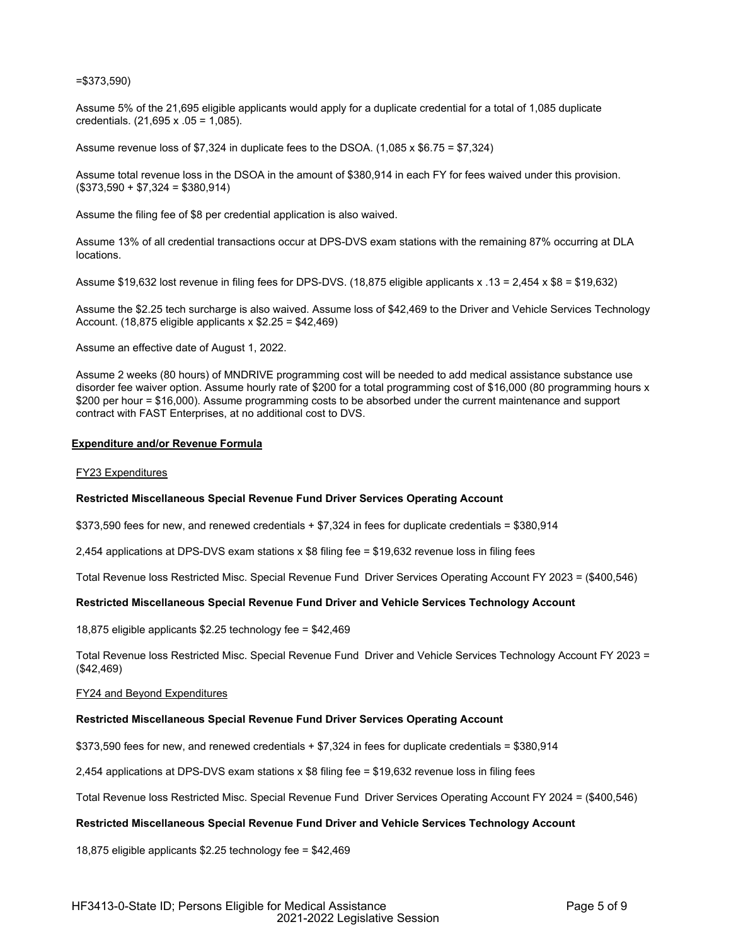# =\$373,590)

Assume 5% of the 21,695 eligible applicants would apply for a duplicate credential for a total of 1,085 duplicate credentials. (21,695 x .05 = 1,085).

Assume revenue loss of \$7,324 in duplicate fees to the DSOA. (1,085 x \$6.75 = \$7,324)

Assume total revenue loss in the DSOA in the amount of \$380,914 in each FY for fees waived under this provision.  $($373,590 + $7,324 = $380,914)$ 

Assume the filing fee of \$8 per credential application is also waived.

Assume 13% of all credential transactions occur at DPS-DVS exam stations with the remaining 87% occurring at DLA locations.

Assume \$19,632 lost revenue in filing fees for DPS-DVS. (18,875 eligible applicants x .13 = 2,454 x \$8 = \$19,632)

Assume the \$2.25 tech surcharge is also waived. Assume loss of \$42,469 to the Driver and Vehicle Services Technology Account. (18,875 eligible applicants x \$2.25 = \$42,469)

Assume an effective date of August 1, 2022.

Assume 2 weeks (80 hours) of MNDRIVE programming cost will be needed to add medical assistance substance use disorder fee waiver option. Assume hourly rate of \$200 for a total programming cost of \$16,000 (80 programming hours x \$200 per hour = \$16,000). Assume programming costs to be absorbed under the current maintenance and support contract with FAST Enterprises, at no additional cost to DVS.

### **Expenditure and/or Revenue Formula**

### FY23 Expenditures

# **Restricted Miscellaneous Special Revenue Fund Driver Services Operating Account**

\$373,590 fees for new, and renewed credentials + \$7,324 in fees for duplicate credentials = \$380,914

2,454 applications at DPS-DVS exam stations x \$8 filing fee = \$19,632 revenue loss in filing fees

Total Revenue loss Restricted Misc. Special Revenue Fund Driver Services Operating Account FY 2023 = (\$400,546)

# **Restricted Miscellaneous Special Revenue Fund Driver and Vehicle Services Technology Account**

18,875 eligible applicants \$2.25 technology fee = \$42,469

Total Revenue loss Restricted Misc. Special Revenue Fund Driver and Vehicle Services Technology Account FY 2023 = (\$42,469)

### FY24 and Beyond Expenditures

### **Restricted Miscellaneous Special Revenue Fund Driver Services Operating Account**

\$373,590 fees for new, and renewed credentials + \$7,324 in fees for duplicate credentials = \$380,914

2,454 applications at DPS-DVS exam stations x \$8 filing fee = \$19,632 revenue loss in filing fees

Total Revenue loss Restricted Misc. Special Revenue Fund Driver Services Operating Account FY 2024 = (\$400,546)

# **Restricted Miscellaneous Special Revenue Fund Driver and Vehicle Services Technology Account**

18,875 eligible applicants \$2.25 technology fee = \$42,469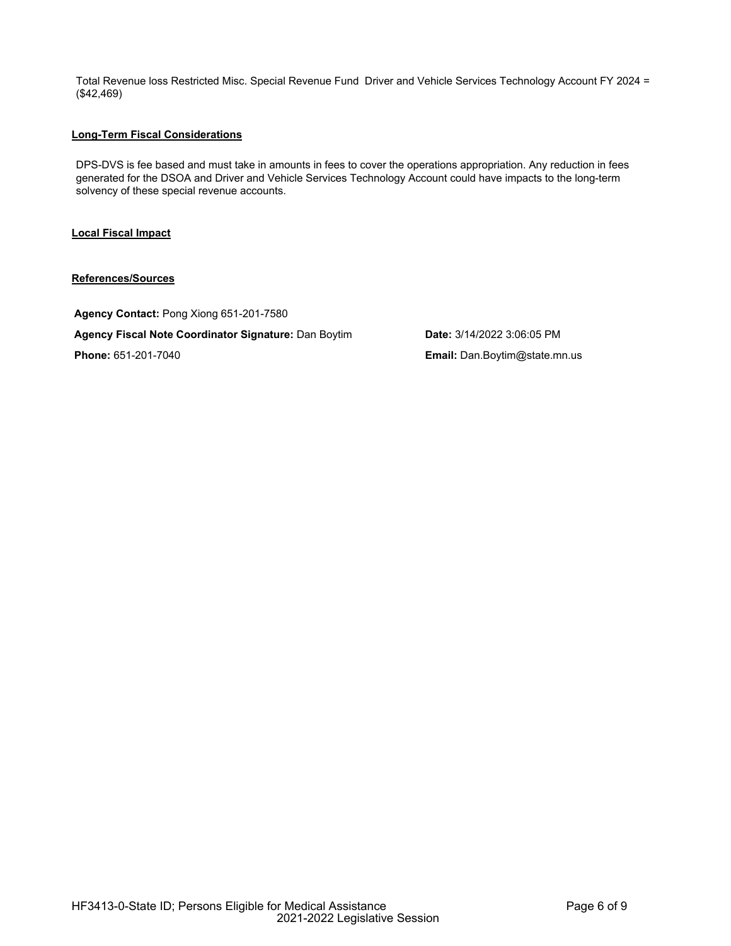Total Revenue loss Restricted Misc. Special Revenue Fund Driver and Vehicle Services Technology Account FY 2024 = (\$42,469)

# **Long-Term Fiscal Considerations**

DPS-DVS is fee based and must take in amounts in fees to cover the operations appropriation. Any reduction in fees generated for the DSOA and Driver and Vehicle Services Technology Account could have impacts to the long-term solvency of these special revenue accounts.

# **Local Fiscal Impact**

# **References/Sources**

**Agency Contact:** Pong Xiong 651-201-7580 **Agency Fiscal Note Coordinator Signature:** Dan Boytim **Date:** 3/14/2022 3:06:05 PM **Phone:** 651-201-7040 **Email:** Dan.Boytim@state.mn.us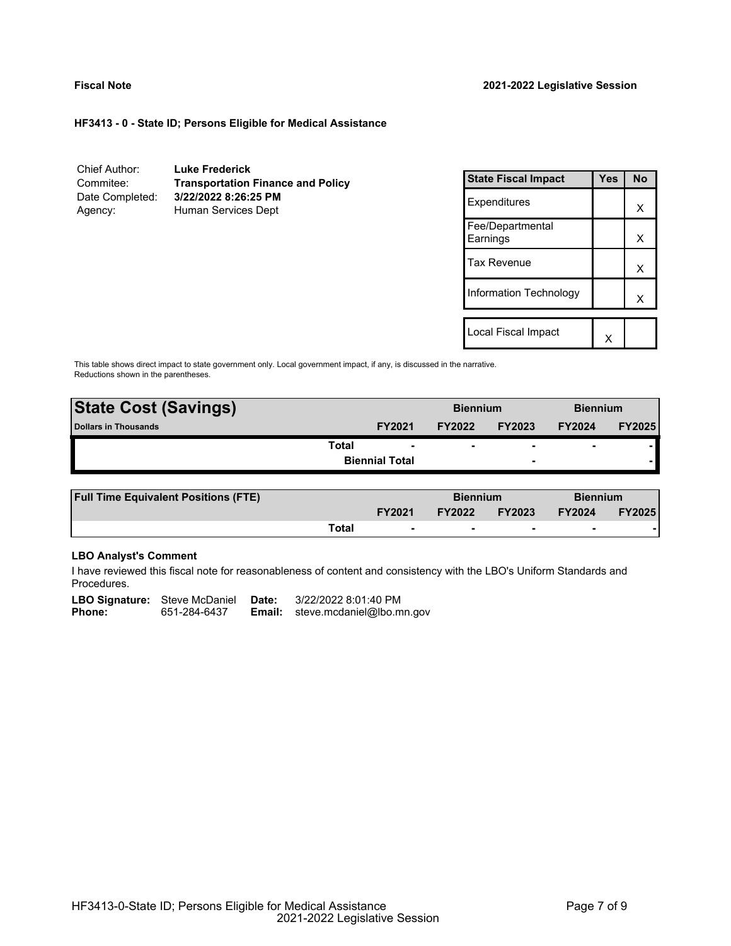# **HF3413 - 0 - State ID; Persons Eligible for Medical Assistance**

| Chief Author:   | <b>Luke Frederick</b>                    |
|-----------------|------------------------------------------|
| Commitee:       | <b>Transportation Finance and Policy</b> |
| Date Completed: | 3/22/2022 8:26:25 PM                     |
| Agency:         | Human Services Dept                      |

| <b>State Fiscal Impact</b>   | Yes | <b>No</b> |
|------------------------------|-----|-----------|
| Expenditures                 |     | x         |
| Fee/Departmental<br>Earnings |     | x         |
| <b>Tax Revenue</b>           |     | x         |
| Information Technology       |     | x         |
| Local Fiscal Impact          |     |           |

This table shows direct impact to state government only. Local government impact, if any, is discussed in the narrative. Reductions shown in the parentheses.

| <b>State Cost (Savings)</b> |                       | <b>Biennium</b> |                          | <b>Biennium</b>          |               |
|-----------------------------|-----------------------|-----------------|--------------------------|--------------------------|---------------|
| <b>Dollars in Thousands</b> | <b>FY2021</b>         | <b>FY2022</b>   | <b>FY2023</b>            | <b>FY2024</b>            | <b>FY2025</b> |
| Total                       |                       |                 | $\overline{\phantom{0}}$ | $\overline{\phantom{0}}$ |               |
|                             | <b>Biennial Total</b> |                 | $\overline{\phantom{0}}$ |                          |               |
|                             |                       |                 |                          |                          |               |

| <b>Full Time Equivalent Positions (FTE)</b> |       |                          | <b>Biennium</b> |                          | <b>Biennium</b> |               |
|---------------------------------------------|-------|--------------------------|-----------------|--------------------------|-----------------|---------------|
|                                             |       | <b>FY2021</b>            | <b>FY2022</b>   | <b>FY2023</b>            | <b>FY2024</b>   | <b>FY2025</b> |
|                                             | Total | $\overline{\phantom{0}}$ |                 | $\overline{\phantom{0}}$ |                 |               |

# **LBO Analyst's Comment**

I have reviewed this fiscal note for reasonableness of content and consistency with the LBO's Uniform Standards and Procedures.

|               | <b>LBO Signature:</b> Steve McDaniel <b>Date:</b> |        | 3/22/2022 8:01:40 PM      |
|---------------|---------------------------------------------------|--------|---------------------------|
| <b>Phone:</b> | 651-284-6437                                      | Email: | steve.mcdaniel@lbo.mn.gov |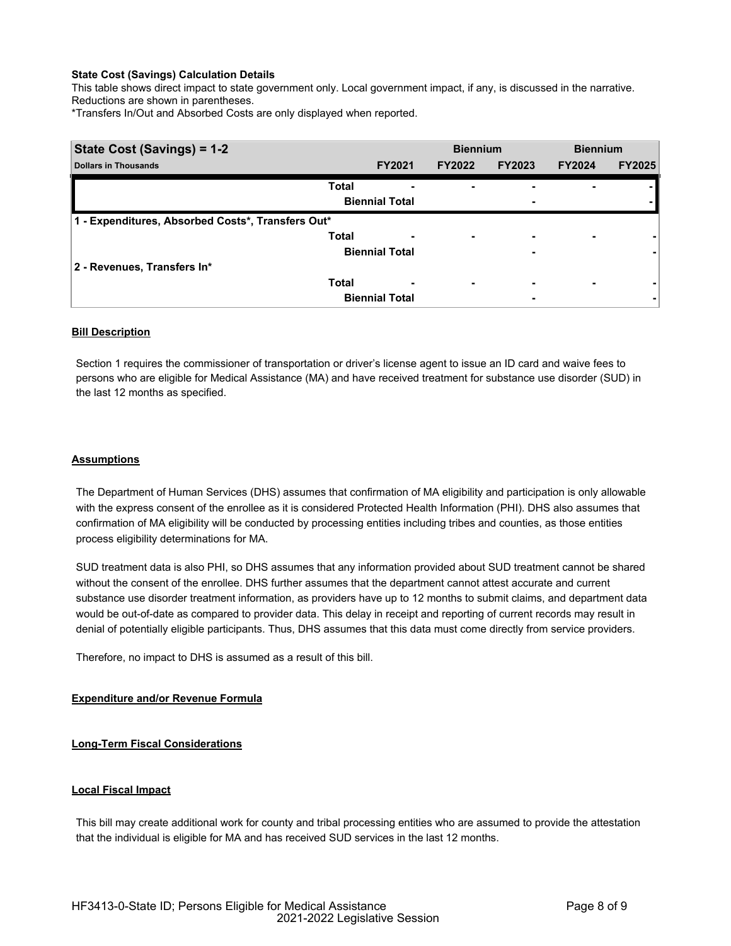# **State Cost (Savings) Calculation Details**

This table shows direct impact to state government only. Local government impact, if any, is discussed in the narrative. Reductions are shown in parentheses.

\*Transfers In/Out and Absorbed Costs are only displayed when reported.

| State Cost (Savings) = 1-2                        |              | <b>Biennium</b>          |               | <b>Biennium</b>          |               |               |
|---------------------------------------------------|--------------|--------------------------|---------------|--------------------------|---------------|---------------|
| <b>Dollars in Thousands</b>                       |              | <b>FY2021</b>            | <b>FY2022</b> | <b>FY2023</b>            | <b>FY2024</b> | <b>FY2025</b> |
|                                                   | <b>Total</b> | -                        |               |                          |               |               |
|                                                   |              | <b>Biennial Total</b>    |               | ۰                        |               |               |
| 1 - Expenditures, Absorbed Costs*, Transfers Out* |              |                          |               |                          |               |               |
|                                                   | <b>Total</b> | $\overline{\phantom{0}}$ | ۰             | $\overline{\phantom{0}}$ | ۰             |               |
|                                                   |              | <b>Biennial Total</b>    |               | ٠                        |               |               |
| 2 - Revenues, Transfers In*                       |              |                          |               |                          |               |               |
|                                                   | <b>Total</b> | -                        | ۰             | ۰                        | ۰             |               |
|                                                   |              | <b>Biennial Total</b>    |               | ۰                        |               | ۰             |

# **Bill Description**

Section 1 requires the commissioner of transportation or driver's license agent to issue an ID card and waive fees to persons who are eligible for Medical Assistance (MA) and have received treatment for substance use disorder (SUD) in the last 12 months as specified.

# **Assumptions**

The Department of Human Services (DHS) assumes that confirmation of MA eligibility and participation is only allowable with the express consent of the enrollee as it is considered Protected Health Information (PHI). DHS also assumes that confirmation of MA eligibility will be conducted by processing entities including tribes and counties, as those entities process eligibility determinations for MA.

SUD treatment data is also PHI, so DHS assumes that any information provided about SUD treatment cannot be shared without the consent of the enrollee. DHS further assumes that the department cannot attest accurate and current substance use disorder treatment information, as providers have up to 12 months to submit claims, and department data would be out-of-date as compared to provider data. This delay in receipt and reporting of current records may result in denial of potentially eligible participants. Thus, DHS assumes that this data must come directly from service providers.

Therefore, no impact to DHS is assumed as a result of this bill.

# **Expenditure and/or Revenue Formula**

# **Long-Term Fiscal Considerations**

# **Local Fiscal Impact**

This bill may create additional work for county and tribal processing entities who are assumed to provide the attestation that the individual is eligible for MA and has received SUD services in the last 12 months.